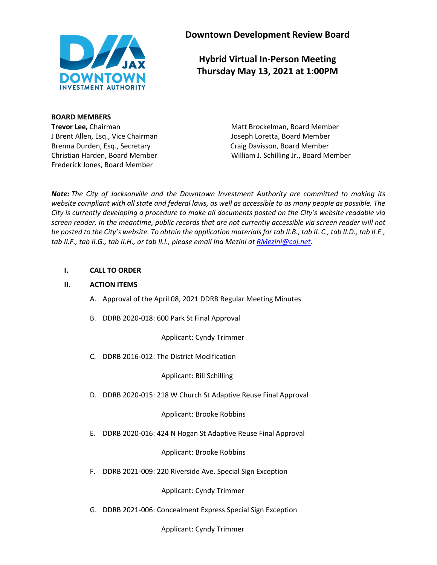

**Downtown Development Review Board**

**Hybrid Virtual In-Person Meeting Thursday May 13, 2021 at 1:00PM**

**BOARD MEMBERS**

J Brent Allen, Esq., Vice Chairman Joseph Loretta, Board Member Brenna Durden, Esq., Secretary **Craig Davisson, Board Member** Craig Davisson, Board Member Frederick Jones, Board Member

**Trevor Lee,** Chairman Matt Brockelman, Board Member Christian Harden, Board Member William J. Schilling Jr., Board Member

*Note: The City of Jacksonville and the Downtown Investment Authority are committed to making its website compliant with all state and federal laws, as well as accessible to as many people as possible. The City is currently developing a procedure to make all documents posted on the City's website readable via screen reader. In the meantime, public records that are not currently accessible via screen reader will not be posted to the City's website. To obtain the application materials for tab II.B., tab II. C., tab II.D., tab II.E., tab II.F., tab II.G., tab II.H., or tab II.I., please email Ina Mezini a[t RMezini@coj.net.](mailto:RMezini@coj.net)*

### **I. CALL TO ORDER**

#### **II. ACTION ITEMS**

- A. Approval of the April 08, 2021 DDRB Regular Meeting Minutes
- B. DDRB 2020-018: 600 Park St Final Approval

Applicant: Cyndy Trimmer

C. DDRB 2016-012: The District Modification

Applicant: Bill Schilling

D. DDRB 2020-015: 218 W Church St Adaptive Reuse Final Approval

Applicant: Brooke Robbins

E. DDRB 2020-016: 424 N Hogan St Adaptive Reuse Final Approval

Applicant: Brooke Robbins

F. DDRB 2021-009: 220 Riverside Ave. Special Sign Exception

Applicant: Cyndy Trimmer

G. DDRB 2021-006: Concealment Express Special Sign Exception

Applicant: Cyndy Trimmer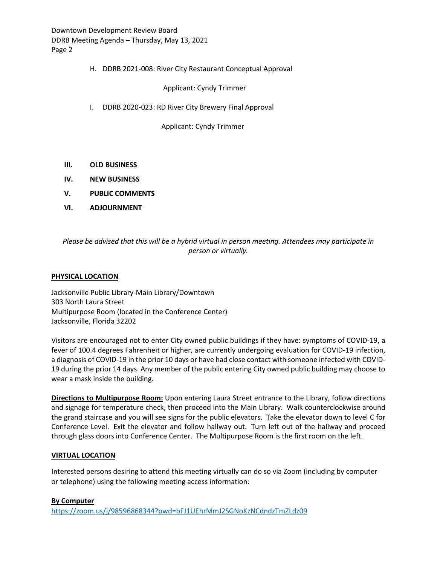Downtown Development Review Board DDRB Meeting Agenda – Thursday, May 13, 2021 Page 2

#### H. DDRB 2021-008: River City Restaurant Conceptual Approval

Applicant: Cyndy Trimmer

I. DDRB 2020-023: RD River City Brewery Final Approval

Applicant: Cyndy Trimmer

- **III. OLD BUSINESS**
- **IV. NEW BUSINESS**
- **V. PUBLIC COMMENTS**
- **VI. ADJOURNMENT**

*Please be advised that this will be a hybrid virtual in person meeting. Attendees may participate in person or virtually.*

#### **PHYSICAL LOCATION**

Jacksonville Public Library-Main Library/Downtown 303 North Laura Street Multipurpose Room (located in the Conference Center) Jacksonville, Florida 32202

Visitors are encouraged not to enter City owned public buildings if they have: symptoms of COVID-19, a fever of 100.4 degrees Fahrenheit or higher, are currently undergoing evaluation for COVID-19 infection, a diagnosis of COVID-19 in the prior 10 days or have had close contact with someone infected with COVID-19 during the prior 14 days. Any member of the public entering City owned public building may choose to wear a mask inside the building.

**Directions to Multipurpose Room:** Upon entering Laura Street entrance to the Library, follow directions and signage for temperature check, then proceed into the Main Library. Walk counterclockwise around the grand staircase and you will see signs for the public elevators. Take the elevator down to level C for Conference Level. Exit the elevator and follow hallway out. Turn left out of the hallway and proceed through glass doors into Conference Center. The Multipurpose Room is the first room on the left.

#### **VIRTUAL LOCATION**

Interested persons desiring to attend this meeting virtually can do so via Zoom (including by computer or telephone) using the following meeting access information:

#### **By Computer**

<https://zoom.us/j/98596868344?pwd=bFJ1UEhrMmJ2SGNoKzNCdndzTmZLdz09>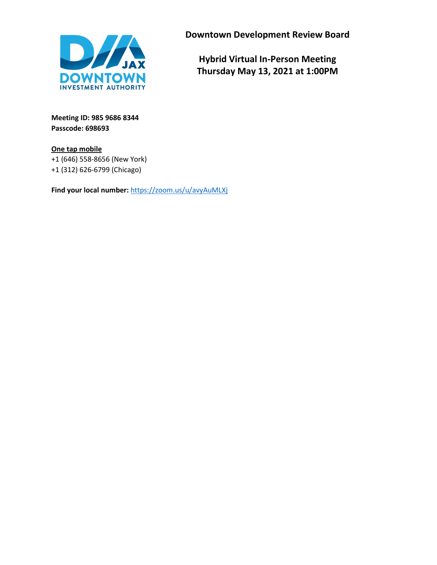

**Downtown Development Review Board**

**Hybrid Virtual In-Person Meeting Thursday May 13, 2021 at 1:00PM**

**Meeting ID: 985 9686 8344 Passcode: 698693**

**One tap mobile** +1 (646) 558-8656 (New York) +1 (312) 626-6799 (Chicago)

**Find your local number:** <https://zoom.us/u/avyAuMLXj>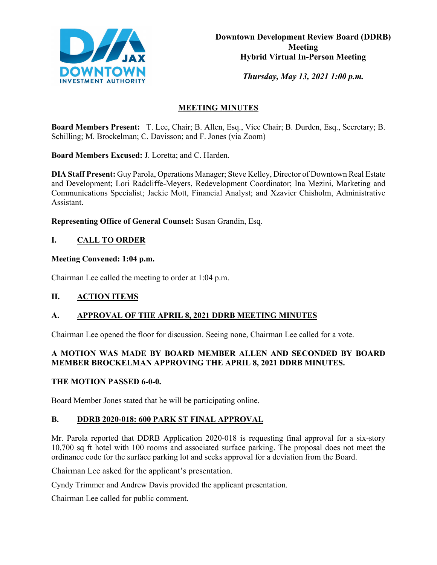

*Thursday, May 13, 2021 1:00 p.m.* 

# **MEETING MINUTES**

**Board Members Present:** T. Lee, Chair; B. Allen, Esq., Vice Chair; B. Durden, Esq., Secretary; B. Schilling; M. Brockelman; C. Davisson; and F. Jones (via Zoom)

**Board Members Excused:** J. Loretta; and C. Harden.

**DIA Staff Present:** Guy Parola, Operations Manager; Steve Kelley, Director of Downtown Real Estate and Development; Lori Radcliffe-Meyers, Redevelopment Coordinator; Ina Mezini, Marketing and Communications Specialist; Jackie Mott, Financial Analyst; and Xzavier Chisholm, Administrative Assistant.

**Representing Office of General Counsel:** Susan Grandin, Esq.

# **I. CALL TO ORDER**

## **Meeting Convened: 1:04 p.m.**

Chairman Lee called the meeting to order at 1:04 p.m.

## **II. ACTION ITEMS**

# **A. APPROVAL OF THE APRIL 8, 2021 DDRB MEETING MINUTES**

Chairman Lee opened the floor for discussion. Seeing none, Chairman Lee called for a vote.

## **A MOTION WAS MADE BY BOARD MEMBER ALLEN AND SECONDED BY BOARD MEMBER BROCKELMAN APPROVING THE APRIL 8, 2021 DDRB MINUTES.**

## **THE MOTION PASSED 6-0-0.**

Board Member Jones stated that he will be participating online.

## **B. DDRB 2020-018: 600 PARK ST FINAL APPROVAL**

Mr. Parola reported that DDRB Application 2020-018 is requesting final approval for a six-story 10,700 sq ft hotel with 100 rooms and associated surface parking. The proposal does not meet the ordinance code for the surface parking lot and seeks approval for a deviation from the Board.

Chairman Lee asked for the applicant's presentation.

Cyndy Trimmer and Andrew Davis provided the applicant presentation.

Chairman Lee called for public comment.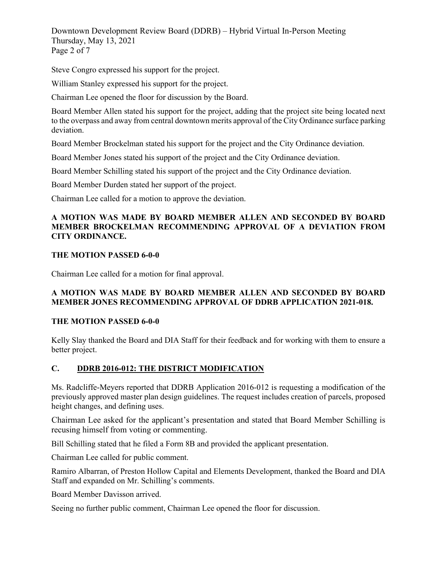Downtown Development Review Board (DDRB) – Hybrid Virtual In-Person Meeting Thursday, May 13, 2021 Page 2 of 7

Steve Congro expressed his support for the project.

William Stanley expressed his support for the project.

Chairman Lee opened the floor for discussion by the Board.

Board Member Allen stated his support for the project, adding that the project site being located next to the overpass and away from central downtown merits approval of the City Ordinance surface parking deviation.

Board Member Brockelman stated his support for the project and the City Ordinance deviation.

Board Member Jones stated his support of the project and the City Ordinance deviation.

Board Member Schilling stated his support of the project and the City Ordinance deviation.

Board Member Durden stated her support of the project.

Chairman Lee called for a motion to approve the deviation.

## **A MOTION WAS MADE BY BOARD MEMBER ALLEN AND SECONDED BY BOARD MEMBER BROCKELMAN RECOMMENDING APPROVAL OF A DEVIATION FROM CITY ORDINANCE.**

## **THE MOTION PASSED 6-0-0**

Chairman Lee called for a motion for final approval.

## **A MOTION WAS MADE BY BOARD MEMBER ALLEN AND SECONDED BY BOARD MEMBER JONES RECOMMENDING APPROVAL OF DDRB APPLICATION 2021-018.**

#### **THE MOTION PASSED 6-0-0**

Kelly Slay thanked the Board and DIA Staff for their feedback and for working with them to ensure a better project.

## **C. DDRB 2016-012: THE DISTRICT MODIFICATION**

Ms. Radcliffe-Meyers reported that DDRB Application 2016-012 is requesting a modification of the previously approved master plan design guidelines. The request includes creation of parcels, proposed height changes, and defining uses.

Chairman Lee asked for the applicant's presentation and stated that Board Member Schilling is recusing himself from voting or commenting.

Bill Schilling stated that he filed a Form 8B and provided the applicant presentation.

Chairman Lee called for public comment.

Ramiro Albarran, of Preston Hollow Capital and Elements Development, thanked the Board and DIA Staff and expanded on Mr. Schilling's comments.

Board Member Davisson arrived.

Seeing no further public comment, Chairman Lee opened the floor for discussion.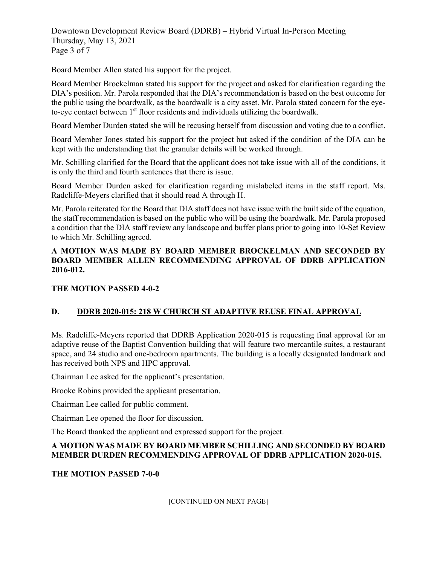Downtown Development Review Board (DDRB) – Hybrid Virtual In-Person Meeting Thursday, May 13, 2021 Page 3 of 7

Board Member Allen stated his support for the project.

Board Member Brockelman stated his support for the project and asked for clarification regarding the DIA's position. Mr. Parola responded that the DIA's recommendation is based on the best outcome for the public using the boardwalk, as the boardwalk is a city asset. Mr. Parola stated concern for the eyeto-eye contact between  $1<sup>st</sup>$  floor residents and individuals utilizing the boardwalk.

Board Member Durden stated she will be recusing herself from discussion and voting due to a conflict.

Board Member Jones stated his support for the project but asked if the condition of the DIA can be kept with the understanding that the granular details will be worked through.

Mr. Schilling clarified for the Board that the applicant does not take issue with all of the conditions, it is only the third and fourth sentences that there is issue.

Board Member Durden asked for clarification regarding mislabeled items in the staff report. Ms. Radcliffe-Meyers clarified that it should read A through H.

Mr. Parola reiterated for the Board that DIA staff does not have issue with the built side of the equation, the staff recommendation is based on the public who will be using the boardwalk. Mr. Parola proposed a condition that the DIA staff review any landscape and buffer plans prior to going into 10-Set Review to which Mr. Schilling agreed.

## **A MOTION WAS MADE BY BOARD MEMBER BROCKELMAN AND SECONDED BY BOARD MEMBER ALLEN RECOMMENDING APPROVAL OF DDRB APPLICATION 2016-012.**

## **THE MOTION PASSED 4-0-2**

## **D. DDRB 2020-015: 218 W CHURCH ST ADAPTIVE REUSE FINAL APPROVAL**

Ms. Radcliffe-Meyers reported that DDRB Application 2020-015 is requesting final approval for an adaptive reuse of the Baptist Convention building that will feature two mercantile suites, a restaurant space, and 24 studio and one-bedroom apartments. The building is a locally designated landmark and has received both NPS and HPC approval.

Chairman Lee asked for the applicant's presentation.

Brooke Robins provided the applicant presentation.

Chairman Lee called for public comment.

Chairman Lee opened the floor for discussion.

The Board thanked the applicant and expressed support for the project.

## **A MOTION WAS MADE BY BOARD MEMBER SCHILLING AND SECONDED BY BOARD MEMBER DURDEN RECOMMENDING APPROVAL OF DDRB APPLICATION 2020-015.**

## **THE MOTION PASSED 7-0-0**

[CONTINUED ON NEXT PAGE]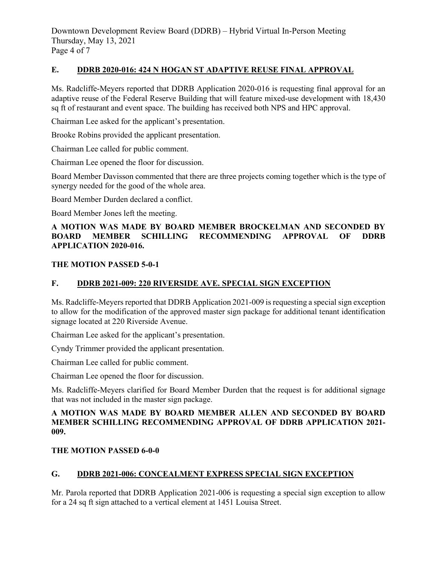Downtown Development Review Board (DDRB) – Hybrid Virtual In-Person Meeting Thursday, May 13, 2021 Page 4 of 7

## **E. DDRB 2020-016: 424 N HOGAN ST ADAPTIVE REUSE FINAL APPROVAL**

Ms. Radcliffe-Meyers reported that DDRB Application 2020-016 is requesting final approval for an adaptive reuse of the Federal Reserve Building that will feature mixed-use development with 18,430 sq ft of restaurant and event space. The building has received both NPS and HPC approval.

Chairman Lee asked for the applicant's presentation.

Brooke Robins provided the applicant presentation.

Chairman Lee called for public comment.

Chairman Lee opened the floor for discussion.

Board Member Davisson commented that there are three projects coming together which is the type of synergy needed for the good of the whole area.

Board Member Durden declared a conflict.

Board Member Jones left the meeting.

### **A MOTION WAS MADE BY BOARD MEMBER BROCKELMAN AND SECONDED BY BOARD MEMBER SCHILLING RECOMMENDING APPROVAL OF DDRB APPLICATION 2020-016.**

#### **THE MOTION PASSED 5-0-1**

#### **F. DDRB 2021-009: 220 RIVERSIDE AVE. SPECIAL SIGN EXCEPTION**

Ms. Radcliffe-Meyers reported that DDRB Application 2021-009 is requesting a special sign exception to allow for the modification of the approved master sign package for additional tenant identification signage located at 220 Riverside Avenue.

Chairman Lee asked for the applicant's presentation.

Cyndy Trimmer provided the applicant presentation.

Chairman Lee called for public comment.

Chairman Lee opened the floor for discussion.

Ms. Radcliffe-Meyers clarified for Board Member Durden that the request is for additional signage that was not included in the master sign package.

### **A MOTION WAS MADE BY BOARD MEMBER ALLEN AND SECONDED BY BOARD MEMBER SCHILLING RECOMMENDING APPROVAL OF DDRB APPLICATION 2021- 009.**

#### **THE MOTION PASSED 6-0-0**

## **G. DDRB 2021-006: CONCEALMENT EXPRESS SPECIAL SIGN EXCEPTION**

Mr. Parola reported that DDRB Application 2021-006 is requesting a special sign exception to allow for a 24 sq ft sign attached to a vertical element at 1451 Louisa Street.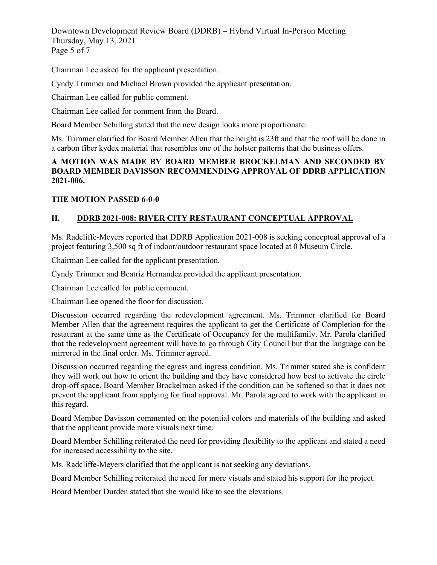Downtown Development Review Board (DDRB) – Hybrid Virtual In-Person Meeting Thursday, May 13, 2021 Page 5 of 7

Chairman Lee asked for the applicant presentation.

Cyndy Trimmer and Michael Brown provided the applicant presentation.

Chairman Lee called for public comment.

Chairman Lee called for comment from the Board.

Board Member Schilling stated that the new design looks more proportionate.

Ms. Trimmer clarified for Board Member Allen that the height is 23ft and that the roof will be done in a carbon fiber kydex material that resembles one of the holster patterns that the business offers.

## **A MOTION WAS MADE BY BOARD MEMBER BROCKELMAN AND SECONDED BY BOARD MEMBER DAVISSON RECOMMENDING APPROVAL OF DDRB APPLICATION 2021-006.**

### **THE MOTION PASSED 6-0-0**

## **H. DDRB 2021-008: RIVER CITY RESTAURANT CONCEPTUAL APPROVAL**

Ms. Radcliffe-Meyers reported that DDRB Application 2021-008 is seeking conceptual approval of a project featuring 3,500 sq ft of indoor/outdoor restaurant space located at 0 Museum Circle.

Chairman Lee called for the applicant presentation.

Cyndy Trimmer and Beatriz Hernandez provided the applicant presentation.

Chairman Lee called for public comment.

Chairman Lee opened the floor for discussion.

Discussion occurred regarding the redevelopment agreement. Ms. Trimmer clarified for Board Member Allen that the agreement requires the applicant to get the Certificate of Completion for the restaurant at the same time as the Certificate of Occupancy for the multifamily. Mr. Parola clarified that the redevelopment agreement will have to go through City Council but that the language can be mirrored in the final order. Ms. Trimmer agreed.

Discussion occurred regarding the egress and ingress condition. Ms. Trimmer stated she is confident they will work out how to orient the building and they have considered how best to activate the circle drop-off space. Board Member Brockelman asked if the condition can be softened so that it does not prevent the applicant from applying for final approval. Mr. Parola agreed to work with the applicant in this regard.

Board Member Davisson commented on the potential colors and materials of the building and asked that the applicant provide more visuals next time.

Board Member Schilling reiterated the need for providing flexibility to the applicant and stated a need for increased accessibility to the site.

Ms. Radcliffe-Meyers clarified that the applicant is not seeking any deviations.

Board Member Schilling reiterated the need for more visuals and stated his support for the project.

Board Member Durden stated that she would like to see the elevations.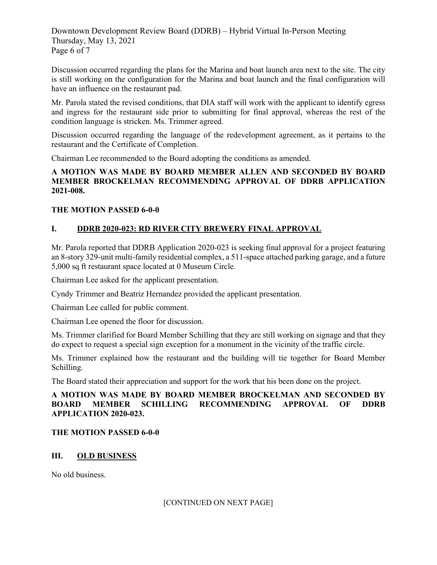Downtown Development Review Board (DDRB) – Hybrid Virtual In-Person Meeting Thursday, May 13, 2021 Page 6 of 7

Discussion occurred regarding the plans for the Marina and boat launch area next to the site. The city is still working on the configuration for the Marina and boat launch and the final configuration will have an influence on the restaurant pad.

Mr. Parola stated the revised conditions, that DIA staff will work with the applicant to identify egress and ingress for the restaurant side prior to submitting for final approval, whereas the rest of the condition language is stricken. Ms. Trimmer agreed.

Discussion occurred regarding the language of the redevelopment agreement, as it pertains to the restaurant and the Certificate of Completion.

Chairman Lee recommended to the Board adopting the conditions as amended.

### **A MOTION WAS MADE BY BOARD MEMBER ALLEN AND SECONDED BY BOARD MEMBER BROCKELMAN RECOMMENDING APPROVAL OF DDRB APPLICATION 2021-008.**

## **THE MOTION PASSED 6-0-0**

## **I. DDRB 2020-023: RD RIVER CITY BREWERY FINAL APPROVAL**

Mr. Parola reported that DDRB Application 2020-023 is seeking final approval for a project featuring an 8-story 329-unit multi-family residential complex, a 511-space attached parking garage, and a future 5,000 sq ft restaurant space located at 0 Museum Circle.

Chairman Lee asked for the applicant presentation.

Cyndy Trimmer and Beatriz Hernandez provided the applicant presentation.

Chairman Lee called for public comment.

Chairman Lee opened the floor for discussion.

Ms. Trimmer clarified for Board Member Schilling that they are still working on signage and that they do expect to request a special sign exception for a monument in the vicinity of the traffic circle.

Ms. Trimmer explained how the restaurant and the building will tie together for Board Member Schilling.

The Board stated their appreciation and support for the work that his been done on the project.

## **A MOTION WAS MADE BY BOARD MEMBER BROCKELMAN AND SECONDED BY BOARD MEMBER SCHILLING RECOMMENDING APPROVAL OF DDRB APPLICATION 2020-023.**

## **THE MOTION PASSED 6-0-0**

## **III. OLD BUSINESS**

No old business.

## [CONTINUED ON NEXT PAGE]